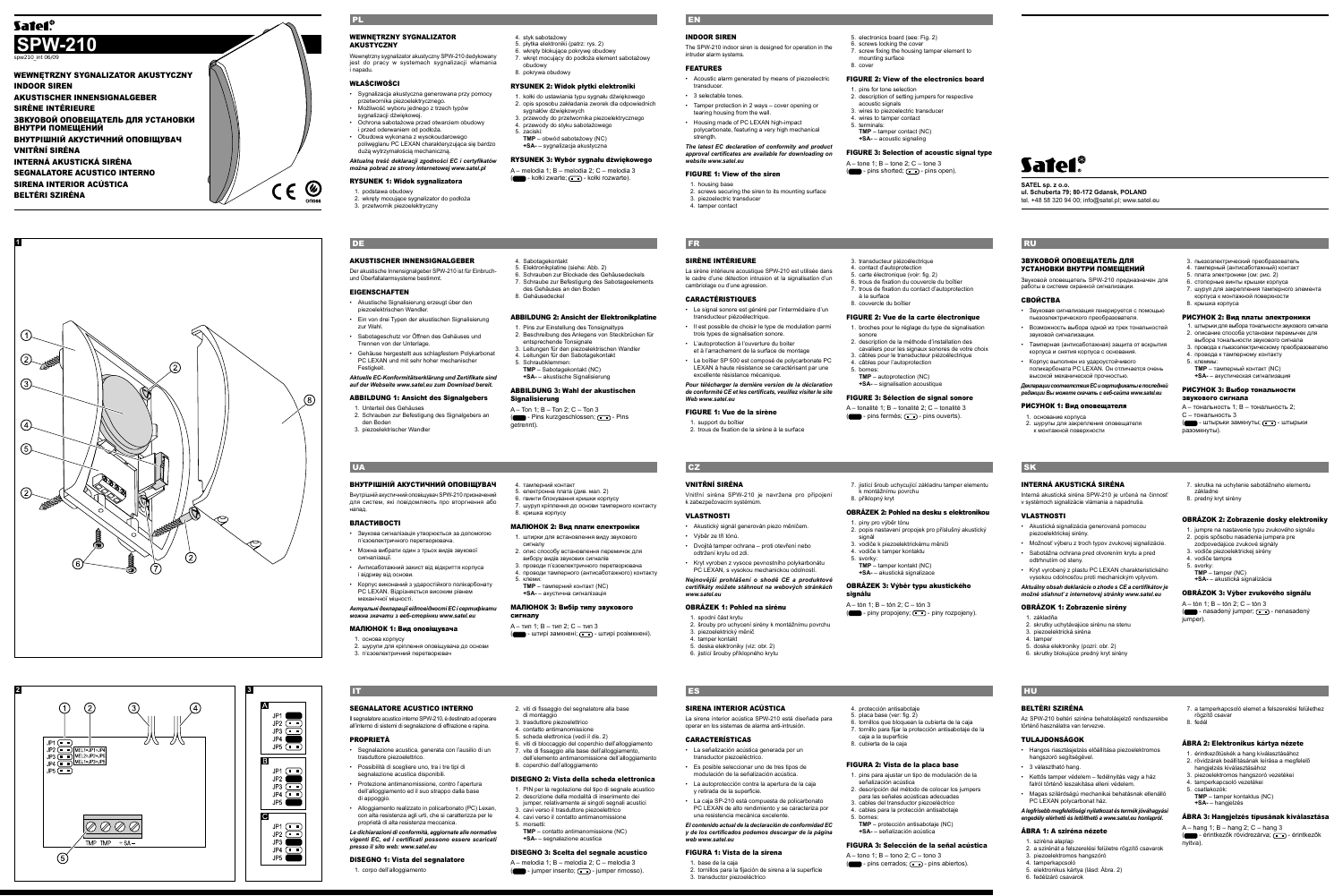**2**

#### WEWNĘTRZNY SYGNALIZATOR **AKUSTYCZNY**

 $\circled{2}$ 

 $\circ$ 

D Ø Ø I

TMP TMP  $+SA -$ 

ZVZ

 $20\%$ 

 $\bigcap$ 

 $\mathcal{F}$ 

P3
MEL1=JP3+JP

vnętrzny sygnalizator akustyczny SPW-210 dedykowany jest do pracy w systemach sygnalizacji włamania i napadu.

#### WŁAŚCIWOŚCI

- Sygnalizacja akustyczna generowana przy pomocy przetwornika piezoelektrycznego. • Możliwość wyboru jednego z trzech typów
- sygnalizacji dźwiękowej. • Ochrona sabotażowa przed otwarciem obudowy<br>i przed oderwaniem od podłoża.
- i przed oderwaniem od podłoża. Obudowa wykonana z wysokoudarowego poliwęglanu PC LEXAN charakteryzująca się bardzo
- dużą wytrzymałością mechaniczną.

*Aktualną treść deklaracji zgodności EC i certyfikatów można pobrać ze strony internetowej www.satel.pl*

rysunek 3: Wybór sygnału dźwiękowego A – melodia 1; B – melodia 2; C – melodia 3 (**III** - kołki zwarte; **III** - kołki rozwarte).

#### rysunek 1: Widok sygnalizatora

- 1. podstawa obudowy
- 2. wkręty mocujące sygnalizator do podłoża 3. przetwornik piezoelektryczny

4. styk sabotażowy 5. płytka elektroniki (patrz: rys. 2) 6. wkręty blokujące pokrywę obudowy

7. wkręt mocujący do podłoża element sabotażowy

obudowy 8. pokrywa obudowy

rysunek 2: Widok płytki elektroniki 1. kołki do ustawiania typu sygnału dźwiękowego 2. opis sposobu zakładania zworek dla odpowiednich

sygnałów dźwiękowych

3. przewody do przetwornika piezoelektrycznego 4. przewody do styku sabotażowego

5. zaciski:

**TMP** – obwód sabotażowy (NC) **+SA-** – sygnalizacja akustyczna

PL

Der akustische Innensignalgeber SPW-210 ist für Einbruchund Überfallalarmsysteme bestimmt.

#### **EIGENSCHAFTEN**

Внутрішній акустичний оповіщувач SPW-210 призначе для систем, які повідомляють про вторгнення або напад.

- Akustische Signalisierung erzeugt über den piezoelektris
- Ein von drei Typen der akustischen Signalisierung zur Wahl.
- Sabotageschutz vor Öffnen des Gehäuses und Trennen von der Unterlage.
- Gehäuse hergestellt aus schlagfestem Polykarbonat PC LEXAN und mit sehr hoher mechanischer Festigkeit.

*Aktuelle EC-Konformitätserklärung und Zertifikate sind auf der Webseite www.satel.eu zum Download bereit.*

#### ABBILDUNG 1: Ansicht des Signalgebers

A – тип 1; B – тип 2; C – тип 3 ( • штирі замкнені; • штирі розімкнені)

- 1. Unterteil des Gehäuses 2. Schrauben zur Befestigung des Signalgebers an den Boden
- 3. piezoelektrischer Wandler

4. Sabotagekontakt 5. Elektronikplatine (siehe: Abb. 2)

- 6. Schrauben zur Blockade des Gehäusedeckels
- 7. Schraube zur Befestigung des Sabotageelements des Gehäuses an den Bod 8. Gehäusedeckel

#### ABBILDUNG 2: Ansicht der Elektronikplatine

• Alloggiamento realizzato in policarbonato (PC) Lexan con alta resistenza agli urti, che si caratterizza per le proprietà di alta resistenza meccanica. *Le dichiarazioni di conformità, aggiornate alle normative vigenti EC, ed i certificati possono essere scaricati* 

- 1. Pins zur Einstellung des Tonsignaltyps 2. Beschreibung des Anlegens von Steckbrücken für
- entsprechende Tonsignale 3. Leitungen für den piezoelektrischen Wandler 4. Leitungen für den Sabotagekontakt
- 5. Schraubklemmen:
- **TMP** Sabotagekontakt (NC) **+SA-** – akustische Signalisierung

#### ABBILDUNG 3: Wahl der akustischen Signalisierung

A – Ton 1; B – Ton 2; C – Ton 3 ( $\Box$  - Pins kurzgeschlossen;  $\Box$  - Pins getrennt).

#### **UA**

#### DE

#### AKUSTISCHER INNENSIGNALGEBER

#### ВНУТРІШНІЙ АКУСТИЧНИЙ ОПОВІЩУВАЧ

A – melodia 1; B – melodia 2; C – melodia 3  $(\blacksquare)$  - jumper inserito;  $\blacksquare$  - jumper rimosso).

#### ВЛАСТИВОСТІ

#### • Acoustic alarm generated by means of piezoelectric 8. cover

transducer • 3 selectable tones.

- Звукова сигналізація утворюється за допомогою п'єзоелектричного перетворювача.
- Можна вибрати один з трьох видів звукової сигналізації.
- Антисаботажний захист від відкриття корпуса i відриву від основи.
- Корпус виконаний з ударостійкого полікарбонату PC LEXAN. Відрізняється високим рівнем механічної міцності.
- *Актуальні декларації відповідності EC і сертифікати можна зкачати з веб-сторінки www.satel.eu*

#### МАЛЮНОК 1: Вид оповіщувача

1. основа корпусу

2. шурупи для кріплення оповіщувача до основи 3. п'єзоелектричний перетворювач

La sirène intérieure acoustique SPW-210 est utilisée dans le cadre d'une détection intrusion et la signalisation d'un age ou d'une agression

#### 4. тамперний контакт 5. електронна плата (див. мал. 2)

- Le signal sonore est généré par l'intermédiaire d'un transducteur piézoélectrique.
- Il est possible de choisir le type de modulation parmi trois types de signalisation sonore.
- L'autoprotection à l'ouverture du boiter et à l'arrachement de la surface de montage
- Le boîtier SP 500 est composé de polycarbonate PC LEXAN à haute résistance se caractérisant par une excellente résistance mécanique

- 6. гвинти блокування кришки корпусу
- 7. шуруп кріплення до основи тамперного контакту 8. кришка корпусу

#### МАЛЮНОК 2: Вид плати електроніки

- 1. штирки для встановлення виду звукового сигналу
- 2. опис способу встановлення перемичок для вибору видів звукових сигналів
- 3. проводи п'єзоелектричного перетворювача проводи тамперного (антисабота
- 5. клеми: **TMP** – тамперний контакт (NC)
- **+SA-** акустична сигналізація

#### Pour télécharger la dernière version de la déclaratio *de conformité CE et les certificats, veuillez visiter le site Web www.satel.eu*

contact d'autoprotection 5. carte électronique (voir: fig. 2)

#### МАЛЮНОК 3: Вибір типу звукового сигналу

sonore<br>2 description de la méthode d'installation des 2. description de la méthode d'installation des cavaliers pour les signaux sonores de votre choix 3. câbles pour le transducteur piézoélectrique 4. câbles pour l'autoprotection

SEGNALATORE ACUSTICO INTERNO Il segnalatore acustico interno SPW-210, è destinato ad operare all'interno di sistemi di segnalazione di effrazione e rapina.

A – tonalité 1; B – tonalité 2; C – tonalité 3  $(m)$  - pins fermés;  $\Box$  - pins ouverts).

PROPRIETÀ

• Segnalazione acustica, generata con l'ausilio di un

• Possibilità di scegliere uno, tra i tre tipi di segnalazione acustica disponibili • Protezione antimanomissione, contro l'apertura dell'alloggiamento ed il suo strappo dalla base

di appoggio.

asduttore piezoelettric

*presso il sito web: www.satel.eu* DISEGNO 1: Vista del segnalatore

1. corpo dell'alloggiamento

#### 2. viti di fissaggio del segnalatore alla base di montaggio 3. trasduttore piezoelettrico

placa base (ver: fig. 2) 6. tornillos que bloquean la cubierta de la caja

- 
- 4. contatto antimanomissione 5. scheda elettronica (vedi il dis. 2)
- 6. viti di bloccaggio del coperchio dell'alloggiamento 7. vite di fissaggio alla base dell'alloggiamento, dell'elemento antimanomissione dell'alloggiamento
- 8. coperchio dell'alloggiamento
- DISEGNO 2: Vista della scheda elettronica
- 1. PIN per la regolazione del tipo di segnale acustico descrizione della modalità di inserimento
- jumper, relativamente ai singoli segnali acustici
- 3. cavi verso il trasduttore piezoelettrico 4. cavi verso il contatto antimanomissione
- 5. morsetti: **TMP** – contatto antimanomissione (NC) **+SA-** – segnalazione acustica

#### ЗВУКОВОЙ ОПОВЕЩАТЕЛЬ ДЛЯ УСТАНОВКИ ВНУТРИ ПОМЕЩЕНИЙ

#### DISEGNO 3: Scelta del segnale acustico

IT

#### INDOOR SIREN

The SPW-210 indoor siren is designed for operation in the intruder alarm systems.

FEATURES

- 
- Tamper protection in 2 ways cover opening or tearing housing from the wall.
- Housing made of PC LEXAN high-impact polycarbonate, featuring a very high mechanical

strength. *The latest EC declaration of conformity and product* 

- 3. пьезоэлектрический преобразователь
- 4. тамперный (антисаботажный) контакт 5. плата электроники (см: рис. 2)
- 
- 6. стопорные винты крышки корпуса 7. шуруп для закрепления тамперного элемента корпуса к монтажной поверхности 8. крышка корпуса
- РИСУНОК 2: Вид платы электроники
- 1. штырьки для выбора тональности звукового сигнала
- 2. описание способа установки перемычек для выбора тональности звукового сигнала
- $3.$  провода к пьезоэлектрическому преобразователю провода к провозными контакту
- 5. клеммы:
- **TMP** тамперный контакт (NC) **+SA-** акустическая сигнализация

*approval certificates are available for downloading on website www.satel.eu*

#### FIGURE 1: View of the siren

- housing base
- 2. screws securing the siren to its mounting surface 3. piezoelectric transduce tamper contact
- 

bornes:

#### 5. electronics board (see: Fig. 2) 6. screws locking the cover 7. screw fixing the housing tamper element to mounting surface

#### FIGURE 2: View of the electronics board

pins for tone selection 2. description of setting jumpers for respective acoustic signals 3. wires to piezoelectric transducer<br>4. wires to tamper contact

4. wires to tamper contact 5. terminals: **TMP** – tamper contact (NC) **+SA-** – acoustic signaling

#### FIGURE 3: Selection of acoustic signal type

 $A =$ tone 1;  $B =$ tone 2;  $C =$ tone 3  $(m)$  - pins shorted;  $\Box$  - pins open).

> A – tón 1; B – tón 2; C – tón 3 (**Compart)** - nasadený jumper;  $\Box$  - nenasadený jumper)

#### EN

SIRÈNE INTÉRIEURE

#### CARACTÉRISTIQUES

## Safeí\* **SATEL sp. z o.o.**

FIGURE 1: Vue de la sirène

#### 1. support du boîtier

2. trous de fixation de la sirène à la surface

#### 3. transducteur piézoélectrique

6. trous de fixation du couvercle du boîtier 7. trous de fixation du contact d'autoprotection à la surface

8. couvercle du boîtier

#### FIGURE 2: Vue de la carte électronique 1. broches pour le réglage du type de signalisation

**TMP** – autoprotection (NC) **+SA-** – signalisation acoustique

#### FIGURE 3: Sélection de signal sonore

FR

#### VNITŘNÍ SIRÉNA

Vnitřní siréna SPW-210 je navržena pro připojení k zabeznečovacím systé VLASTNOSTI

• Akustický signál generován piezo měničem.

• Výběr ze tří tónů.

• Dvojitá tamper ochrana – proti otevření nebo

odtržení krytu od zdi.

• Kryt vyroben z vysoce pevnostního polykarbonátu PC LEXAN, s vysokou mechanickou odolností. *Nejnovější prohlášení o shodě CE a produktové certifikáty můžete stáhnout na webových stránkách* 

*www.satel.eu*

OBRÁZEK 1: Pohled na sirénu

1. spodní část krytu

piezoelektrický měnič 4. tamper kontakt 5. deska elektroniky (viz: obr. 2) 6. jistící šrouby příklopného krytu

2. šrouby pro uchycení sirény k montážnímu povrchu

7. jistící šroub uchycující základnu tamper elementu k montážnímu povrchu 8. příklopný kryt

#### OBRÁZEK 2: Pohled na desku s elektronikou

1. piny pro výběr tónu 2. popis nastavení propojek pro příslušný akustický

signál

3. vodiče k piezoelektrickému měniči 4. vodiče k tamper kontaktu

5. svorky:

**TMP** – tamper kontakt (NC) **+SA-** – akustická signalizace

#### OBRÁZEK 3: Výběr typu akustického

 $A - t$ ón 1;  $B - t$ ón 2;  $C - t$ ón 3  $(m)$  - piny propojeny;  $(m)$  - piny rozpojeny.

signálu

SIRENA INTERIOR ACÚSTICA

La sirena interior acústica SPW-210 está diseñada para operar en los sistemas de alarma anti-intrusión.

## CZ.

CARACTERÍSTICAS

transductor piezoeléctric

• La señalización acústica generada por un

• Es posible seleccionar uno de tres tipos de modulación de la señalización acústica. • La autoprotección contra la apertura de la caja

y retirada de la superficie.

• La caja SP-210 está compuesta de policarbonato PC LEXAN de alto rendimiento y se caracteriza por

una resistencia mecánica excelente.

*El contenido actual de la declaración de conformidad EC y de los certificados podemos descargar de la página* 

*web www.satel.eu*

FIGURA 1: Vista de la sirena

1. base de la caja

2. tornillos para la fijación de sirena a la superficie

3. transductor piezoeléctrico

## 4. protección antisabotaje

7. tornillo para fijar la protección antisabotaje de la caja a la superficie 8. cubierta de la caja

#### FIGURA 2: Vista de la placa base

1. pins para ajustar un tipo de modulación de la señalización acústica 2. descripción del método de colocar los jumpers

- para las señales acústicas adecuadas 3. cables del transductor piezoeléctrico 4. cables para la protección antisabotaje
- 5. bornes: **TMP** protección antisabotaje (NC) **+SA-** – señalización acústica

### FIGURA 3: Selección de la señal acústica

 $A =$ tono 1;  $B =$ tono 2;  $C =$ tono 3  $(\blacksquare)$  - pins cerrados;  $\blacksquare$  - pins abiertos).

ES

Звуковой оповещатель SPW-210 предназначен для работы в системе охранной сигнализации.

#### СВОЙСТВА

- Звуковая сигнализация генерируется с помощью пьезоэлектрического преобразователя.
- Возможность выбора одной из трех тональностей звуковой сигнализации.
- Тамперная (антисаботажная) защита от вскрытия корпуса и снятия корпуса с основания.
- Корпус выполнен из удароустойчивого .<br>икарбоната PC LEXAN. Он отличается очень высокой механической прочностью.

*Декларации соответствия EC и сертификаты в последней редакции Вы можете скачать с веб-сайта www.satel.eu*

#### РИСУНОК 1: Вид оповещателя

- 1. основание корпуса
- 2. шурупы для закрепления оповещателя к монтажной поверхности

#### РИСУНОК 3: Выбор тональности

звукового сигнала A – тональность 1; B – тональность 2; C – тональность 3 ( - штырьки замкнуты; - штырьки разомкнуты).

RU

### INTERNÁ AKUSTICKÁ SIRÉNA

Interná akustická siréna SPW-210 je určená na činnosť v systémoch signalizácie vlámania a napadnutia.

#### VLASTNOSTI

**SK** 

- Akustická signalizácia generovaná pomocou piezoelektrickej sirény.
- Možnosť výberu z troch typov zvukovej signalizácie.
- Sabotážna ochrana pred otvorením krytu a pred
- odtrhnutím od steny.
- Kryt vyrobený z plastu PC LEXAN charakteristického vysokou odolnosťou proti mechanickým vplyvom.

#### *Aktuálny obsah deklarácie o zhode s CE a certifikátov je možné stiahnuť z internetovej stránky www.satel.eu*

#### OBRÁZOK 1: Zobrazenie sirény

- 1. základňa
- 2. skrutky uchytávajúce sirénu na stenu
- . piezoelektrická siréna
- 4. tamper
- 5. doska elektroniky (pozri: obr. 2) 6. skrutky blokujúce predný kryt sirény
- 7. skrutka na uchytenie sabotážneho elementu
- základne 8. predný kryt sirény

#### OBRÁZOK 2: Zobrazenie dosky elektroniky

- 1. jumpre na nastavenie typu zvukového signálu
- 2. popis spôsobu nasadenia jumpera pre zodpovedajúce zvukové signály
- 3. vodiče piezoelektrickej sirény
- 4. vodiče tampra
- 5. svorky:
- **TMP** tamper (NC) **+SA-** akustická signalizácia
- 

#### OBRÁZOK 3: Výber zvukového signálu

## BELTÉRI SZIRÉNA

HU

Az SPW-210 beltéri sziréna behatolásjelző rendszerekbe történő használatra van tervezve.

#### TULAJDONSÁGOK

- Hangos riasztásjelzés előállítása piezoelektromos ngszoró segítségével
- 3 választható hang.
- Kettős tamper védelem fedélnyitás vagy a ház falról történő leszakítása elleni véde
- Magas szilárdságú mechanikai behatásnak ellenálló PC LEXAN polycarbonat ház.

## *A legfrisebb megfelelőségi nyilatkozat és termék jóváhagyási engedély elérhető és letölthető a www.satel.eu honlapról.*

#### ÁBRA 1: A sziréna nézete

- 1. sziréna alaplap
- 2. a szirénát a felszerelési felületre rögzítő csavarok 3. piezoelektromos hangszóró
- 4. tamperkapcsoló
- 5. elektronikus kártya (lásd: Ábra. 2) 6. fedélzáró csavarok

7. a tamperkapcsoló elemet a felszerelési felülethez rögzítő csavar 8. fedél

#### ÁBRA 2: Elektronikus kártya nézete

- 1. érintkezőtüskék a hang kiválasztásához
- 2. rövidzárak beállításának leírása a megfelelő hangjelzés kiválasztásához

3. piezoelektromos hangszoró vezetékei 4. tamperkapcsoló vezetékei

5. csatlakozók:

**TMP** – tamper kontaktus (NC) **+SA-** – hangjelzés

ÁBRA 3: Hangjelzés típusának kiválasztása

(  $\Box$  - érintkezők rövidrezárva;  $\Box$  - érintkezők

A – hang 1; B – hang 2; C – hang 3

nyitva).

**ul. Schuberta 79; 80-172 Gdansk, POLAND** tel. +48 58 320 94 00; info@satel.pl; www.satel.eu



**3**

JP1  $JP2$   $\overline{---}$  $\overline{\Box}$  $JP3$  $JP4$ 

 $JP1$   $\Box$ JP. .IP <u>লি -</u>  $J<sub>P4</sub>$  $JPS$ 

 $JP1$   $\Box$  $IP2$   $\Box$  $JP3$ 

 $JP5$   $\Box$ 

 $\overline{c}$ 

 $\circ$